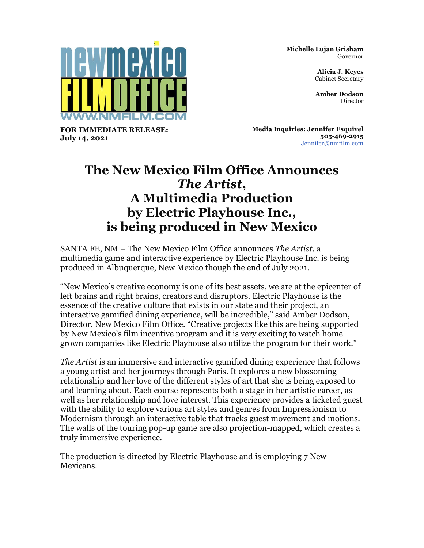**Michelle Lujan Grisham** Governor

> **Alicia J. Keyes** Cabinet Secretary

> **Amber Dodson** Director



**FOR IMMEDIATE RELEASE: July 14, 2021**

**Media Inquiries: Jennifer Esquivel 505-469-2915** [Jennifer@nmfilm.com](mailto:jennifer@nmfilm.com)

## **The New Mexico Film Office Announces**  *The Artist***, A Multimedia Production by Electric Playhouse Inc., is being produced in New Mexico**

SANTA FE, NM – The New Mexico Film Office announces *The Artist*, a multimedia game and interactive experience by Electric Playhouse Inc. is being produced in Albuquerque, New Mexico though the end of July 2021.

"New Mexico's creative economy is one of its best assets, we are at the epicenter of left brains and right brains, creators and disruptors. Electric Playhouse is the essence of the creative culture that exists in our state and their project, an interactive gamified dining experience, will be incredible," said Amber Dodson, Director, New Mexico Film Office. "Creative projects like this are being supported by New Mexico's film incentive program and it is very exciting to watch home grown companies like Electric Playhouse also utilize the program for their work."

*The Artist* is an immersive and interactive gamified dining experience that follows a young artist and her journeys through Paris. It explores a new blossoming relationship and her love of the different styles of art that she is being exposed to and learning about. Each course represents both a stage in her artistic career, as well as her relationship and love interest. This experience provides a ticketed guest with the ability to explore various art styles and genres from Impressionism to Modernism through an interactive table that tracks guest movement and motions. The walls of the touring pop-up game are also projection-mapped, which creates a truly immersive experience.

The production is directed by Electric Playhouse and is employing 7 New Mexicans.